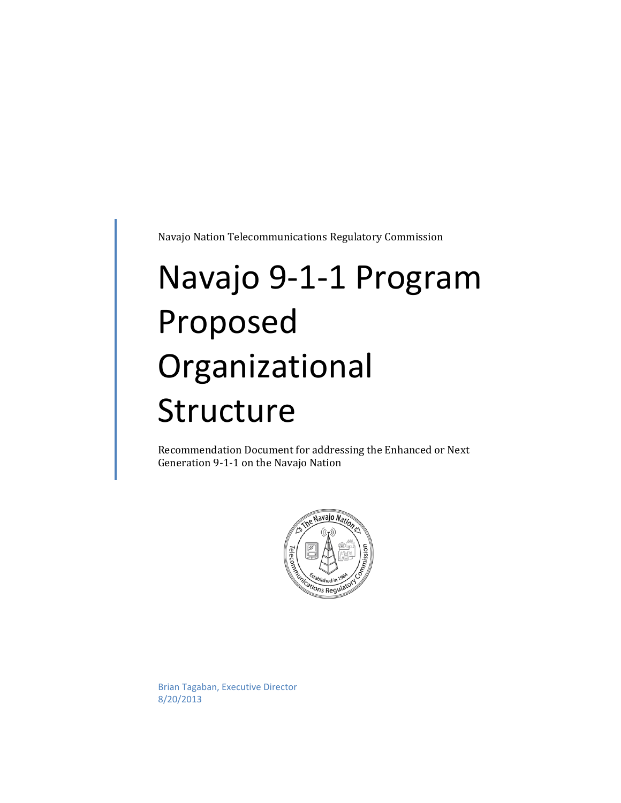Navajo Nation Telecommunications Regulatory Commission

# Navajo 9‐1‐1 Program Proposed Organizational Structure

Recommendation Document for addressing the Enhanced or Next Generation 9-1-1 on the Navajo Nation



Brian Tagaban, Executive Director 8/20/2013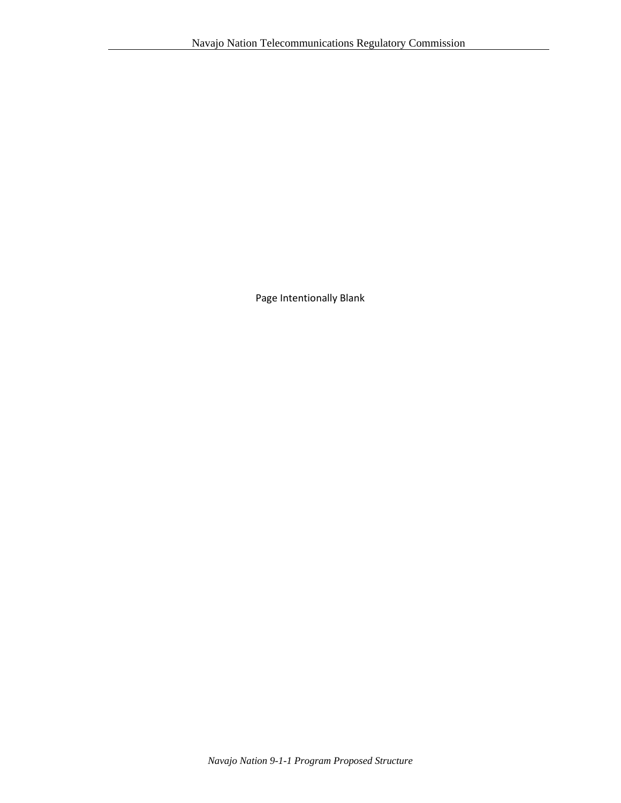Page Intentionally Blank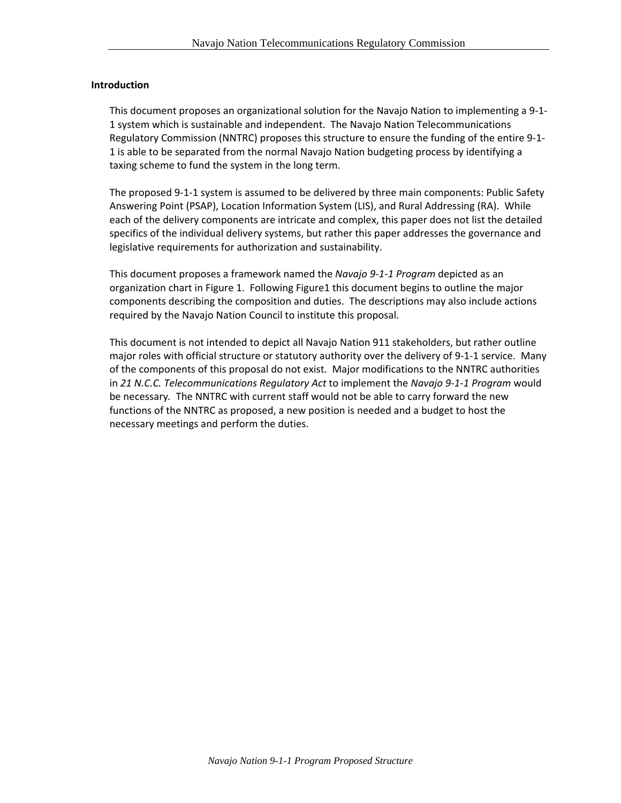#### **Introduction**

This document proposes an organizational solution for the Navajo Nation to implementing a 9‐1‐ 1 system which is sustainable and independent. The Navajo Nation Telecommunications Regulatory Commission (NNTRC) proposes this structure to ensure the funding of the entire 9‐1‐ 1 is able to be separated from the normal Navajo Nation budgeting process by identifying a taxing scheme to fund the system in the long term.

The proposed 9‐1‐1 system is assumed to be delivered by three main components: Public Safety Answering Point (PSAP), Location Information System (LIS), and Rural Addressing (RA). While each of the delivery components are intricate and complex, this paper does not list the detailed specifics of the individual delivery systems, but rather this paper addresses the governance and legislative requirements for authorization and sustainability.

This document proposes a framework named the *Navajo 9‐1‐1 Program* depicted as an organization chart in Figure 1. Following Figure1 this document begins to outline the major components describing the composition and duties. The descriptions may also include actions required by the Navajo Nation Council to institute this proposal.

This document is not intended to depict all Navajo Nation 911 stakeholders, but rather outline major roles with official structure or statutory authority over the delivery of 9‐1‐1 service. Many of the components of this proposal do not exist. Major modifications to the NNTRC authorities in *21 N.C.C. Telecommunications Regulatory Act* to implement the *Navajo 9‐1‐1 Program* would be necessary*.* The NNTRC with current staff would not be able to carry forward the new functions of the NNTRC as proposed, a new position is needed and a budget to host the necessary meetings and perform the duties.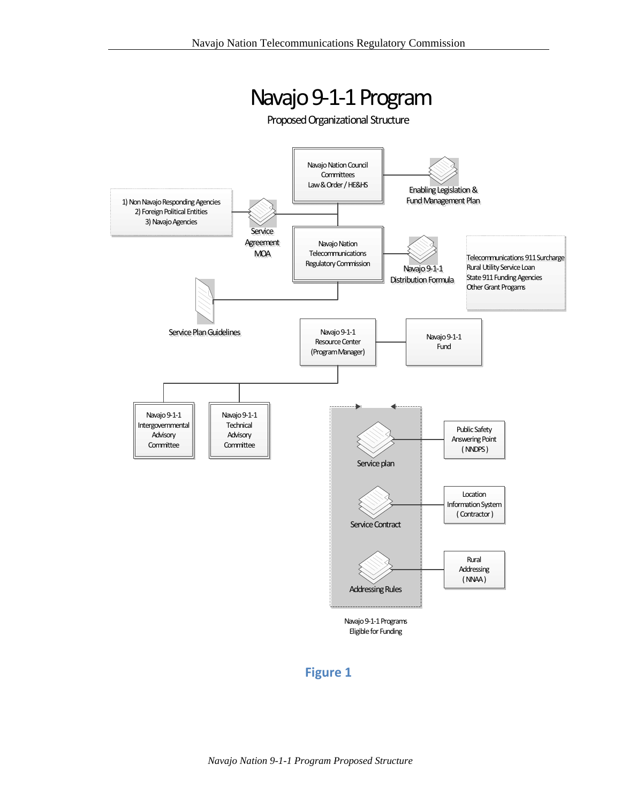

Proposed Organizational Structure



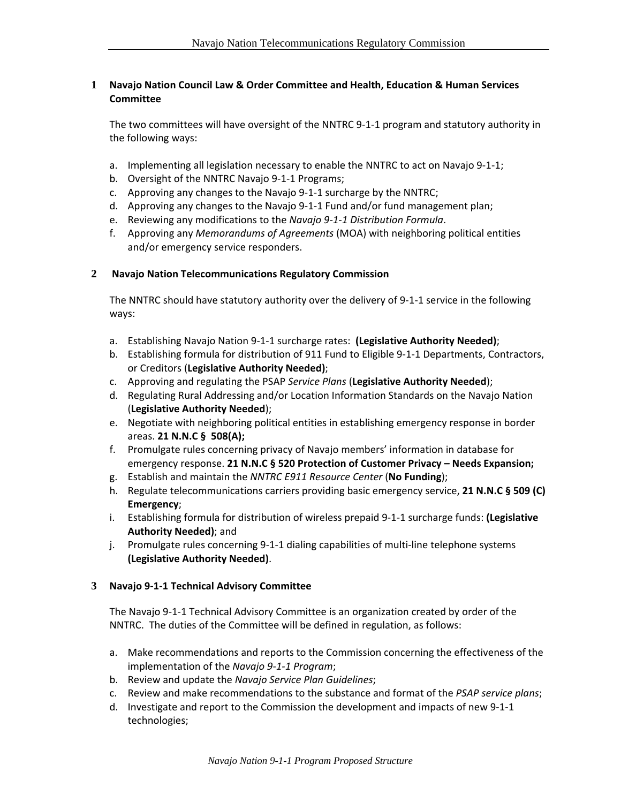# **1 Navajo Nation Council Law & Order Committee and Health, Education & Human Services Committee**

The two committees will have oversight of the NNTRC 9‐1‐1 program and statutory authority in the following ways:

- a. Implementing all legislation necessary to enable the NNTRC to act on Navajo 9‐1‐1;
- b. Oversight of the NNTRC Navajo 9‐1‐1 Programs;
- c. Approving any changes to the Navajo 9‐1‐1 surcharge by the NNTRC;
- d. Approving any changes to the Navajo 9‐1‐1 Fund and/or fund management plan;
- e. Reviewing any modifications to the *Navajo 9‐1‐1 Distribution Formula*.
- f. Approving any *Memorandums of Agreements* (MOA) with neighboring political entities and/or emergency service responders.

## **2 Navajo Nation Telecommunications Regulatory Commission**

The NNTRC should have statutory authority over the delivery of 9‐1‐1 service in the following ways:

- a. Establishing Navajo Nation 9‐1‐1 surcharge rates: **(Legislative Authority Needed)**;
- b. Establishing formula for distribution of 911 Fund to Eligible 9‐1‐1 Departments, Contractors, or Creditors (**Legislative Authority Needed)**;
- c. Approving and regulating the PSAP *Service Plans* (**Legislative Authority Needed**);
- d. Regulating Rural Addressing and/or Location Information Standards on the Navajo Nation (**Legislative Authority Needed**);
- e. Negotiate with neighboring political entities in establishing emergency response in border areas. **21 N.N.C § 508(A);**
- f. Promulgate rules concerning privacy of Navajo members' information in database for emergency response. **21 N.N.C § 520 Protection of Customer Privacy – Needs Expansion;**
- g. Establish and maintain the *NNTRC E911 Resource Center* (**No Funding**);
- h. Regulate telecommunications carriers providing basic emergency service, **21 N.N.C § 509 (C) Emergency**;
- i. Establishing formula for distribution of wireless prepaid 9‐1‐1 surcharge funds: **(Legislative Authority Needed)**; and
- j. Promulgate rules concerning 9‐1‐1 dialing capabilities of multi‐line telephone systems **(Legislative Authority Needed)**.

## **3 Navajo 9‐1‐1 Technical Advisory Committee**

The Navajo 9‐1‐1 Technical Advisory Committee is an organization created by order of the NNTRC. The duties of the Committee will be defined in regulation, as follows:

- a. Make recommendations and reports to the Commission concerning the effectiveness of the implementation of the *Navajo 9‐1‐1 Program*;
- b. Review and update the *Navajo Service Plan Guidelines*;
- c. Review and make recommendations to the substance and format of the *PSAP service plans*;
- d. Investigate and report to the Commission the development and impacts of new 9‐1‐1 technologies;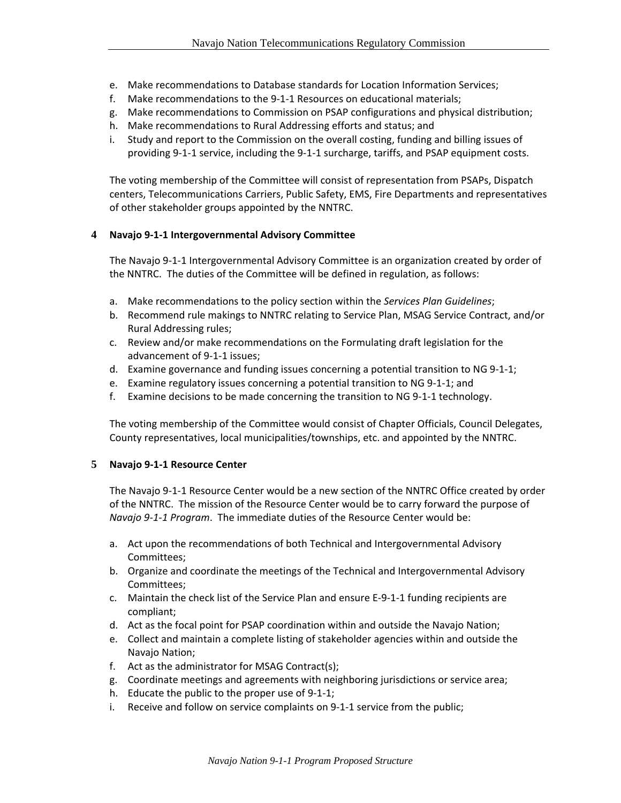- e. Make recommendations to Database standards for Location Information Services;
- f. Make recommendations to the 9‐1‐1 Resources on educational materials;
- g. Make recommendations to Commission on PSAP configurations and physical distribution;
- h. Make recommendations to Rural Addressing efforts and status; and
- i. Study and report to the Commission on the overall costing, funding and billing issues of providing 9‐1‐1 service, including the 9‐1‐1 surcharge, tariffs, and PSAP equipment costs.

The voting membership of the Committee will consist of representation from PSAPs, Dispatch centers, Telecommunications Carriers, Public Safety, EMS, Fire Departments and representatives of other stakeholder groups appointed by the NNTRC.

# **4 Navajo 9‐1‐1 Intergovernmental Advisory Committee**

The Navajo 9‐1‐1 Intergovernmental Advisory Committee is an organization created by order of the NNTRC. The duties of the Committee will be defined in regulation, as follows:

- a. Make recommendations to the policy section within the *Services Plan Guidelines*;
- b. Recommend rule makings to NNTRC relating to Service Plan, MSAG Service Contract, and/or Rural Addressing rules;
- c. Review and/or make recommendations on the Formulating draft legislation for the advancement of 9‐1‐1 issues;
- d. Examine governance and funding issues concerning a potential transition to NG 9‐1‐1;
- e. Examine regulatory issues concerning a potential transition to NG 9‐1‐1; and
- f. Examine decisions to be made concerning the transition to NG 9‐1‐1 technology.

The voting membership of the Committee would consist of Chapter Officials, Council Delegates, County representatives, local municipalities/townships, etc. and appointed by the NNTRC.

# **5 Navajo 9‐1‐1 Resource Center**

The Navajo 9-1-1 Resource Center would be a new section of the NNTRC Office created by order of the NNTRC. The mission of the Resource Center would be to carry forward the purpose of *Navajo 9‐1‐1 Program*. The immediate duties of the Resource Center would be:

- a. Act upon the recommendations of both Technical and Intergovernmental Advisory Committees;
- b. Organize and coordinate the meetings of the Technical and Intergovernmental Advisory Committees;
- c. Maintain the check list of the Service Plan and ensure E‐9‐1‐1 funding recipients are compliant;
- d. Act as the focal point for PSAP coordination within and outside the Navajo Nation;
- e. Collect and maintain a complete listing of stakeholder agencies within and outside the Navajo Nation;
- f. Act as the administrator for MSAG Contract(s);
- g. Coordinate meetings and agreements with neighboring jurisdictions or service area;
- h. Educate the public to the proper use of 9‐1‐1;
- i. Receive and follow on service complaints on 9‐1‐1 service from the public;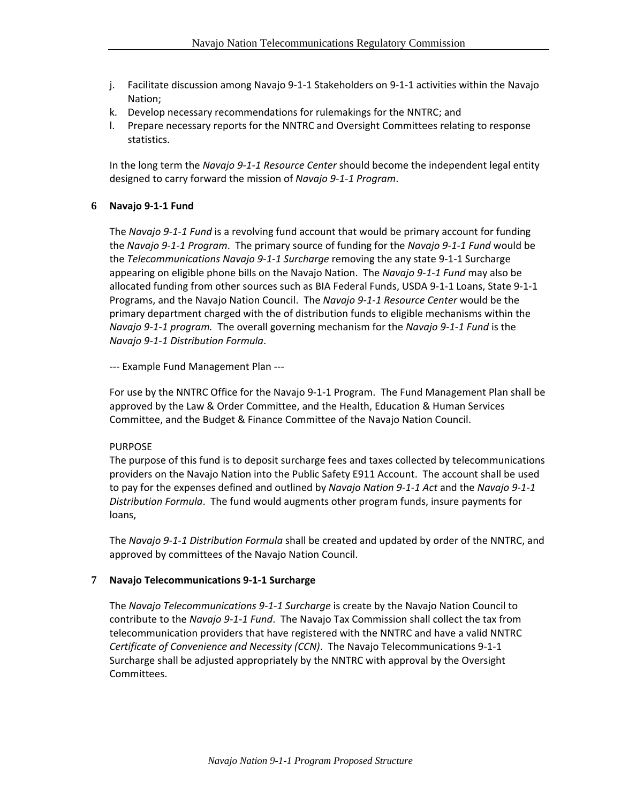- j. Facilitate discussion among Navajo 9‐1‐1 Stakeholders on 9‐1‐1 activities within the Navajo Nation;
- k. Develop necessary recommendations for rulemakings for the NNTRC; and
- l. Prepare necessary reports for the NNTRC and Oversight Committees relating to response statistics.

In the long term the *Navajo 9‐1‐1 Resource Center* should become the independent legal entity designed to carry forward the mission of *Navajo 9‐1‐1 Program*.

#### **6 Navajo 9‐1‐1 Fund**

The *Navajo 9‐1‐1 Fund* is a revolving fund account that would be primary account for funding the *Navajo 9‐1‐1 Program*. The primary source of funding for the *Navajo 9‐1‐1 Fund* would be the *Telecommunications Navajo 9‐1‐1 Surcharge* removing the any state 9‐1‐1 Surcharge appearing on eligible phone bills on the Navajo Nation. The *Navajo 9‐1‐1 Fund* may also be allocated funding from other sources such as BIA Federal Funds, USDA 9‐1‐1 Loans, State 9‐1‐1 Programs, and the Navajo Nation Council. The *Navajo 9‐1‐1 Resource Center* would be the primary department charged with the of distribution funds to eligible mechanisms within the *Navajo 9‐1‐1 program.* The overall governing mechanism for the *Navajo 9‐1‐1 Fund* is the *Navajo 9‐1‐1 Distribution Formula*.

‐‐‐ Example Fund Management Plan ‐‐‐

For use by the NNTRC Office for the Navajo 9‐1‐1 Program. The Fund Management Plan shall be approved by the Law & Order Committee, and the Health, Education & Human Services Committee, and the Budget & Finance Committee of the Navajo Nation Council.

#### PURPOSE

The purpose of this fund is to deposit surcharge fees and taxes collected by telecommunications providers on the Navajo Nation into the Public Safety E911 Account. The account shall be used to pay for the expenses defined and outlined by *Navajo Nation 9‐1‐1 Act* and the *Navajo 9‐1‐1 Distribution Formula*. The fund would augments other program funds, insure payments for loans,

The *Navajo 9‐1‐1 Distribution Formula* shall be created and updated by order of the NNTRC, and approved by committees of the Navajo Nation Council.

## **7 Navajo Telecommunications 9‐1‐1 Surcharge**

The *Navajo Telecommunications 9‐1‐1 Surcharge* is create by the Navajo Nation Council to contribute to the *Navajo 9‐1‐1 Fund*. The Navajo Tax Commission shall collect the tax from telecommunication providers that have registered with the NNTRC and have a valid NNTRC *Certificate of Convenience and Necessity (CCN)*. The Navajo Telecommunications 9‐1‐1 Surcharge shall be adjusted appropriately by the NNTRC with approval by the Oversight Committees.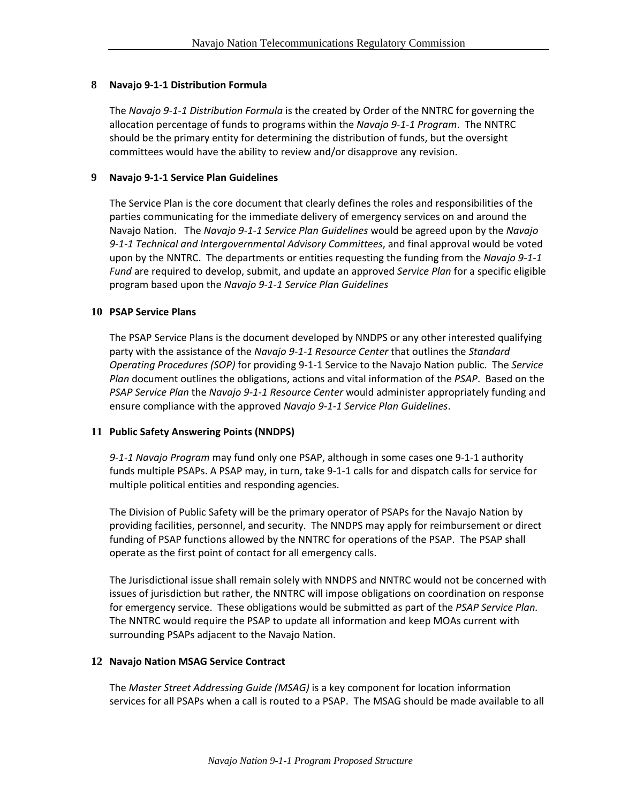### **8 Navajo 9‐1‐1 Distribution Formula**

The *Navajo 9‐1‐1 Distribution Formula* is the created by Order of the NNTRC for governing the allocation percentage of funds to programs within the *Navajo 9‐1‐1 Program*. The NNTRC should be the primary entity for determining the distribution of funds, but the oversight committees would have the ability to review and/or disapprove any revision.

### **9 Navajo 9‐1‐1 Service Plan Guidelines**

The Service Plan is the core document that clearly defines the roles and responsibilities of the parties communicating for the immediate delivery of emergency services on and around the Navajo Nation. The *Navajo 9‐1‐1 Service Plan Guidelines* would be agreed upon by the *Navajo 9‐1‐1 Technical and Intergovernmental Advisory Committees*, and final approval would be voted upon by the NNTRC. The departments or entities requesting the funding from the *Navajo 9‐1‐1 Fund* are required to develop, submit, and update an approved *Service Plan* for a specific eligible program based upon the *Navajo 9‐1‐1 Service Plan Guidelines*

### **10 PSAP Service Plans**

The PSAP Service Plans is the document developed by NNDPS or any other interested qualifying party with the assistance of the *Navajo 9‐1‐1 Resource Center* that outlines the *Standard Operating Procedures (SOP)* for providing 9‐1‐1 Service to the Navajo Nation public. The *Service Plan* document outlines the obligations, actions and vital information of the *PSAP*. Based on the *PSAP Service Plan* the *Navajo 9‐1‐1 Resource Center* would administer appropriately funding and ensure compliance with the approved *Navajo 9‐1‐1 Service Plan Guidelines*.

## **11 Public Safety Answering Points (NNDPS)**

*9‐1‐1 Navajo Program* may fund only one PSAP, although in some cases one 9‐1‐1 authority funds multiple PSAPs. A PSAP may, in turn, take 9‐1‐1 calls for and dispatch calls for service for multiple political entities and responding agencies.

The Division of Public Safety will be the primary operator of PSAPs for the Navajo Nation by providing facilities, personnel, and security. The NNDPS may apply for reimbursement or direct funding of PSAP functions allowed by the NNTRC for operations of the PSAP. The PSAP shall operate as the first point of contact for all emergency calls.

The Jurisdictional issue shall remain solely with NNDPS and NNTRC would not be concerned with issues of jurisdiction but rather, the NNTRC will impose obligations on coordination on response for emergency service. These obligations would be submitted as part of the *PSAP Service Plan.*  The NNTRC would require the PSAP to update all information and keep MOAs current with surrounding PSAPs adjacent to the Navajo Nation.

#### **12 Navajo Nation MSAG Service Contract**

The *Master Street Addressing Guide (MSAG)* is a key component for location information services for all PSAPs when a call is routed to a PSAP. The MSAG should be made available to all